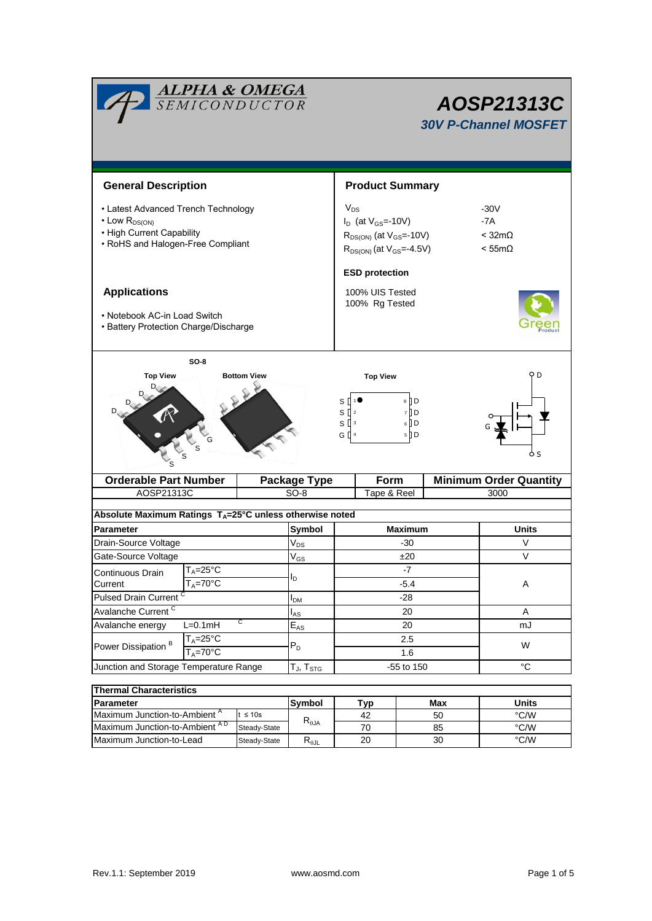| <b>ALPHA &amp; OMEGA</b><br>SEMICONDUCTOR                                                                                         | AOSP21313C<br><b>30V P-Channel MOSFET</b> |                                                                                                                    |                                                     |                  |                                                      |               |                               |  |  |
|-----------------------------------------------------------------------------------------------------------------------------------|-------------------------------------------|--------------------------------------------------------------------------------------------------------------------|-----------------------------------------------------|------------------|------------------------------------------------------|---------------|-------------------------------|--|--|
| <b>General Description</b>                                                                                                        |                                           | <b>Product Summary</b>                                                                                             |                                                     |                  |                                                      |               |                               |  |  |
| • Latest Advanced Trench Technology<br>$\cdot$ Low $R_{DS(ON)}$<br>• High Current Capability<br>• RoHS and Halogen-Free Compliant |                                           | $V_{DS}$<br>$I_D$ (at $V_{GS} = -10V$ )<br>$R_{DS(ON)}$ (at $V_{GS}$ =-10V)<br>$R_{DS(ON)}$ (at $V_{GS} = -4.5V$ ) |                                                     |                  | $-30V$<br>$-7A$<br>$<$ 32m $\Omega$<br>$< 55m\Omega$ |               |                               |  |  |
| <b>Applications</b><br>• Notebook AC-in Load Switch<br>• Battery Protection Charge/Discharge                                      |                                           | <b>ESD protection</b><br>100% UIS Tested<br>100% Rg Tested                                                         |                                                     |                  |                                                      |               |                               |  |  |
| <b>Top View</b>                                                                                                                   |                                           | <b>Top View</b><br>s l<br>s [<br>$\sqrt{2}$<br>$S^{\prod 3}$<br>$G$ $\parallel$ <sup>4</sup>                       | $8 \nparallel D$<br>7 [] D<br>$6$ $\Box$ D<br>$5$ D |                  | D                                                    |               |                               |  |  |
| <b>Orderable Part Number</b>                                                                                                      |                                           |                                                                                                                    | Package Type                                        | Form             |                                                      |               | <b>Minimum Order Quantity</b> |  |  |
| AOSP21313C                                                                                                                        |                                           |                                                                                                                    | $SO-8$                                              | Tape & Reel      |                                                      |               | 3000                          |  |  |
| Absolute Maximum Ratings $T_A = 25^\circ \text{C}$ unless otherwise noted                                                         |                                           |                                                                                                                    |                                                     |                  |                                                      |               |                               |  |  |
| <b>Parameter</b>                                                                                                                  |                                           |                                                                                                                    | Symbol                                              | <b>Maximum</b>   |                                                      |               | Units                         |  |  |
| Drain-Source Voltage                                                                                                              |                                           |                                                                                                                    | $V_{DS}$                                            | $-30$            |                                                      |               | V                             |  |  |
| Gate-Source Voltage                                                                                                               |                                           |                                                                                                                    | $V_{GS}$                                            | ±20              |                                                      |               | $\vee$                        |  |  |
| $T_A = 25^\circ \overline{C}$<br>Continuous Drain                                                                                 |                                           |                                                                                                                    |                                                     | -7               |                                                      |               |                               |  |  |
| $T_A = 70^\circ C$<br>Current                                                                                                     |                                           |                                                                                                                    | $I_D$                                               |                  | $-5.4$                                               |               | Α                             |  |  |
| Pulsed Drain Current <sup>C</sup>                                                                                                 |                                           |                                                                                                                    | I <sub>DM</sub>                                     | $-28$            |                                                      |               |                               |  |  |
| Avalanche Current <sup>C</sup>                                                                                                    |                                           |                                                                                                                    | $I_{AS}$                                            | 20               |                                                      |               | A                             |  |  |
| С<br>Avalanche energy<br>$L=0.1mH$                                                                                                |                                           |                                                                                                                    | $\mathsf{E}_{\mathsf{AS}}$                          | 20               |                                                      |               | mJ                            |  |  |
| Power Dissipation <sup>B</sup>                                                                                                    | $T_A = 25$ °C                             |                                                                                                                    | $P_D$                                               | 2.5              |                                                      |               | W                             |  |  |
|                                                                                                                                   | $T_A = 70$ °C                             |                                                                                                                    |                                                     | 1.6              |                                                      |               |                               |  |  |
| Junction and Storage Temperature Range                                                                                            | $T_J$ , $T_{STG}$                         | -55 to 150                                                                                                         |                                                     |                  | °C                                                   |               |                               |  |  |
|                                                                                                                                   |                                           |                                                                                                                    |                                                     |                  |                                                      |               |                               |  |  |
| <b>Thermal Characteristics</b><br>Parameter                                                                                       |                                           |                                                                                                                    |                                                     | Max              | <b>Units</b>                                         |               |                               |  |  |
| Maximum Junction-to-Ambient <sup>A</sup><br>$t \leq 10s$                                                                          |                                           |                                                                                                                    | Symbol                                              | <b>Typ</b><br>42 |                                                      | 50            | $\degree$ C/W                 |  |  |
| Maximum Junction-to-Ambient AD<br>Steady-State                                                                                    |                                           |                                                                                                                    | $R_{\theta JA}$                                     | 70               |                                                      | 85            | $^{\circ}$ C/W                |  |  |
| Maximum Junction-to-Lead<br>Steady-State                                                                                          |                                           | $R_{\theta JL}$                                                                                                    | 20                                                  |                  | 30                                                   | $\degree$ C/W |                               |  |  |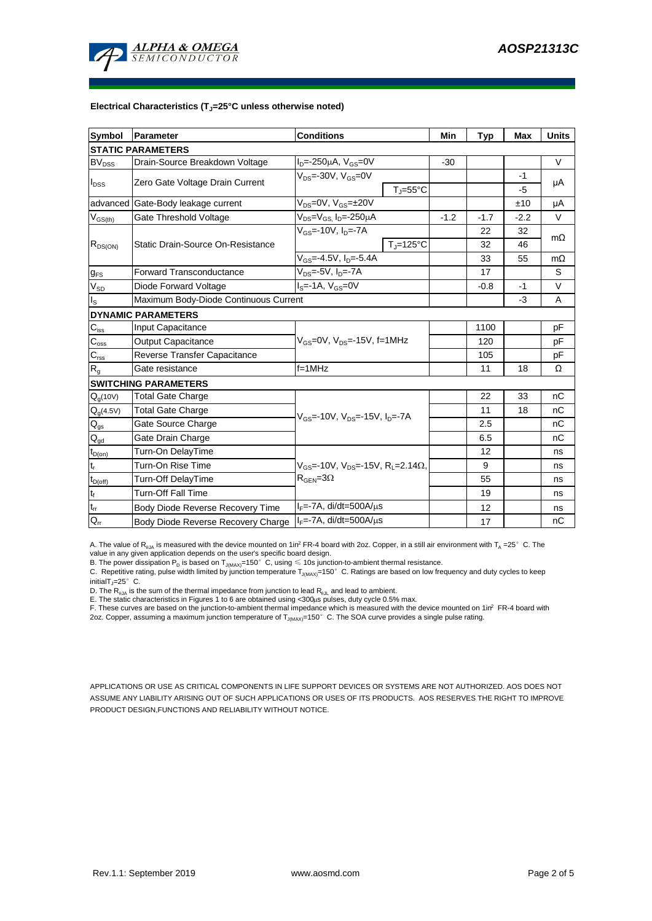

#### **Electrical Characteristics (TJ=25°C unless otherwise noted)**

| <b>Symbol</b>              | <b>Conditions</b><br>Parameter                                    |                                                                 |        | <b>Typ</b> | Max    | <b>Units</b> |  |  |  |  |  |  |
|----------------------------|-------------------------------------------------------------------|-----------------------------------------------------------------|--------|------------|--------|--------------|--|--|--|--|--|--|
| <b>STATIC PARAMETERS</b>   |                                                                   |                                                                 |        |            |        |              |  |  |  |  |  |  |
| $BV_{DSS}$                 | Drain-Source Breakdown Voltage                                    | $I_{D} = -250 \mu A$ , $V_{GS} = 0V$                            |        |            |        | $\vee$       |  |  |  |  |  |  |
| $I_{DSS}$                  | Zero Gate Voltage Drain Current                                   | $V_{DS} = -30V$ , $V_{GS} = 0V$                                 |        |            | $-1$   | μA           |  |  |  |  |  |  |
|                            |                                                                   | $T_{J} = 55^{\circ}C$                                           |        |            | -5     |              |  |  |  |  |  |  |
|                            | advanced Gate-Body leakage current                                | $V_{DS} = 0V$ , $V_{GS} = \pm 20V$                              |        |            | ±10    | μA           |  |  |  |  |  |  |
| $V_{GS(th)}$               | Gate Threshold Voltage                                            | V <sub>DS</sub> =V <sub>GS.</sub> I <sub>D</sub> =-250µA        | $-1.2$ | $-1.7$     | $-2.2$ | V            |  |  |  |  |  |  |
| $R_{DS(ON)}$               | Static Drain-Source On-Resistance                                 | $V_{GS}$ =-10V, I <sub>D</sub> =- $\overline{7A}$               |        | 22         | 32     | $m\Omega$    |  |  |  |  |  |  |
|                            |                                                                   | $T_{\rm J}$ =125°C                                              |        | 32         | 46     |              |  |  |  |  |  |  |
|                            |                                                                   | $V_{GS}$ =-4.5V, $I_{D}$ =-5.4A                                 |        | 33         | 55     | $m\Omega$    |  |  |  |  |  |  |
| $g_{FS}$                   | <b>Forward Transconductance</b>                                   |                                                                 | 17     |            | S      |              |  |  |  |  |  |  |
| $V_{SD}$                   | Diode Forward Voltage                                             | $I_S = -1A$ , $V_{GS} = 0V$                                     |        |            |        | V            |  |  |  |  |  |  |
| $I_{\rm S}$                | Maximum Body-Diode Continuous Current                             |                                                                 |        | $-3$       | A      |              |  |  |  |  |  |  |
|                            | <b>DYNAMIC PARAMETERS</b>                                         |                                                                 |        |            |        |              |  |  |  |  |  |  |
| $\mathbf{C}_{\text{iss}}$  | Input Capacitance                                                 |                                                                 |        | 1100       |        | рF           |  |  |  |  |  |  |
| $C_{\rm oss}$              | $V_{GS}$ =0V, $V_{DS}$ =-15V, f=1MHz<br><b>Output Capacitance</b> |                                                                 |        | 120        |        | рF           |  |  |  |  |  |  |
| $\mathbf{C}_{\text{rss}}$  | Reverse Transfer Capacitance                                      |                                                                 |        | 105        |        | рF           |  |  |  |  |  |  |
| $R_{g}$                    | Gate resistance                                                   | $f = 1$ MHz                                                     |        | 11         | 18     | Ω            |  |  |  |  |  |  |
|                            | <b>SWITCHING PARAMETERS</b>                                       |                                                                 |        |            |        |              |  |  |  |  |  |  |
| $Q_g(10V)$                 | <b>Total Gate Charge</b>                                          |                                                                 |        | 22         | 33     | nC           |  |  |  |  |  |  |
| $Q_g(4.5V)$                | <b>Total Gate Charge</b>                                          | $V_{GS}$ =-10V, $V_{DS}$ =-15V, $I_{D}$ =-7A                    |        | 11         | 18     | nC           |  |  |  |  |  |  |
| $\mathsf{Q}_{\text{gs}}$   | Gate Source Charge                                                |                                                                 |        | 2.5        |        | nC           |  |  |  |  |  |  |
| $\mathsf{Q}_{\mathsf{gd}}$ | Gate Drain Charge                                                 |                                                                 |        | 6.5        |        | пC           |  |  |  |  |  |  |
| $t_{D(on)}$                | Turn-On DelayTime                                                 |                                                                 |        | 12         |        | ns           |  |  |  |  |  |  |
| $t_r$                      | Turn-On Rise Time                                                 | $V_{GS}$ =-10V, $V_{DS}$ =-15V, R <sub>1</sub> =2.14 $\Omega$ , |        | 9          |        | ns           |  |  |  |  |  |  |
| $t_{D(off)}$               | Turn-Off DelayTime                                                | $R_{\text{GEN}} = 3\Omega$                                      |        | 55         |        | ns           |  |  |  |  |  |  |
| $\mathsf{t}_{\mathsf{f}}$  | Turn-Off Fall Time                                                |                                                                 |        | 19         |        | ns           |  |  |  |  |  |  |
| $\mathfrak{t}_{\text{rr}}$ | Body Diode Reverse Recovery Time                                  | $I_F$ =-7A, di/dt=500A/ $\mu$ s                                 |        | 12         |        | ns           |  |  |  |  |  |  |
| $Q_{rr}$                   | Body Diode Reverse Recovery Charge                                | $I_F$ =-7A, di/dt=500A/us                                       |        | 17         |        | nC           |  |  |  |  |  |  |

A. The value of  $R_{\theta JA}$  is measured with the device mounted on 1in<sup>2</sup> FR-4 board with 2oz. Copper, in a still air environment with T<sub>A</sub> =25° C. The value in any given application depends on the user's specific board design.

B. The power dissipation  ${\sf P}_{\sf D}$  is based on  ${\sf T}_{\sf J(MAX)}$ =150 $^\circ\,$  C, using  $\leqslant$  10s junction-to-ambient thermal resistance.

C. Repetitive rating, pulse width limited by junction temperature T $_{\rm J(MAX)}$ =150°C. Ratings are based on low frequency and duty cycles to keep

initialT $j=25^\circ$  C.

D. The R<sub>eJA</sub> is the sum of the thermal impedance from junction to lead R<sub>eJL</sub> and lead to ambient.<br>E. The static characteristics in Figures 1 to 6 are obtained using <300µs pulses, duty cycle 0.5% max.<br>F. These curves are

APPLICATIONS OR USE AS CRITICAL COMPONENTS IN LIFE SUPPORT DEVICES OR SYSTEMS ARE NOT AUTHORIZED. AOS DOES NOT ASSUME ANY LIABILITY ARISING OUT OF SUCH APPLICATIONS OR USES OF ITS PRODUCTS. AOS RESERVES THE RIGHT TO IMPROVE PRODUCT DESIGN,FUNCTIONS AND RELIABILITY WITHOUT NOTICE.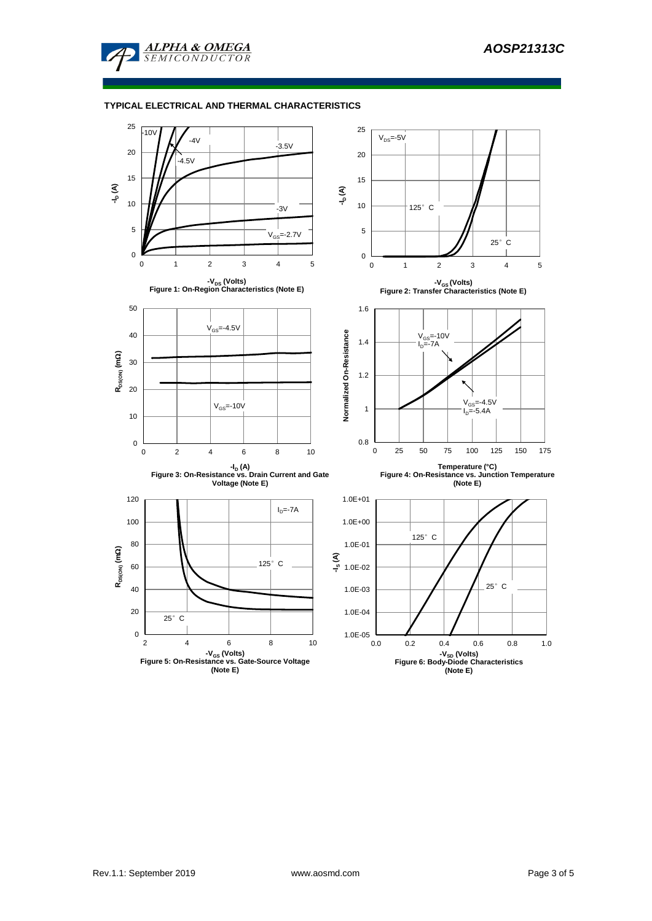

## **TYPICAL ELECTRICAL AND THERMAL CHARACTERISTICS**

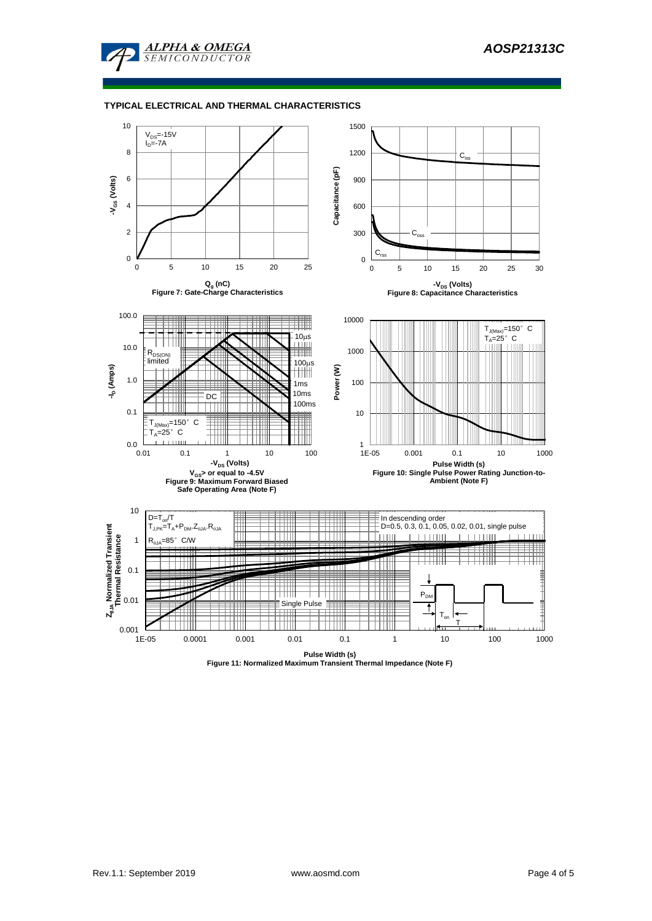

#### **TYPICAL ELECTRICAL AND THERMAL CHARACTERISTICS**